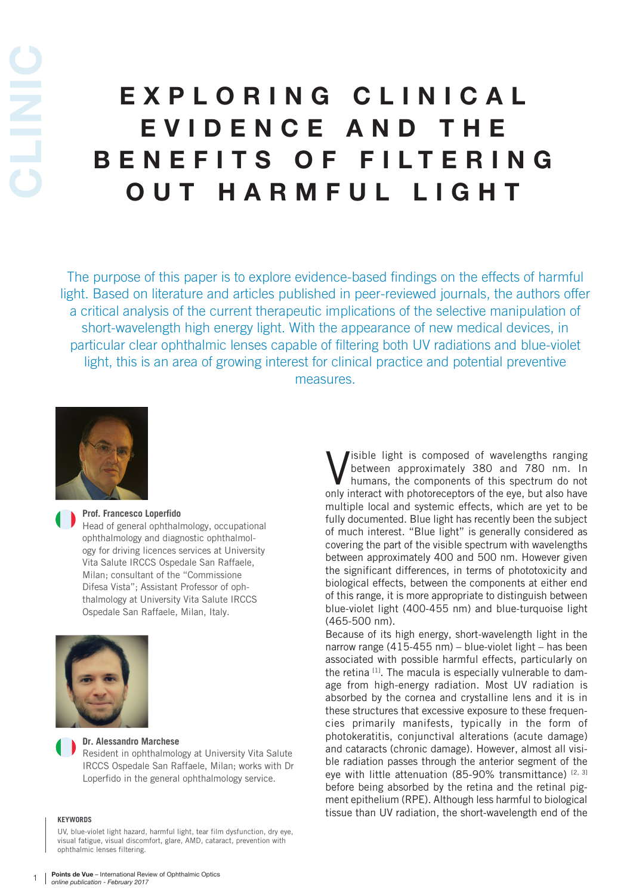# EXPLORING CLINICAL E V I D E N C E A N D T H E BENEFITS OF FILTERING OUT HARMFUL LIGHT

The purpose of this paper is to explore evidence-based findings on the effects of harmful light. Based on literature and articles published in peer-reviewed journals, the authors offer a critical analysis of the current therapeutic implications of the selective manipulation of short-wavelength high energy light. With the appearance of new medical devices, in particular clear ophthalmic lenses capable of filtering both UV radiations and blue-violet light, this is an area of growing interest for clinical practice and potential preventive measures.



#### **Prof. Francesco Loperfido**

Head of general ophthalmology, occupational ophthalmology and diagnostic ophthalmology for driving licences services at University Vita Salute IRCCS Ospedale San Raffaele, Milan; consultant of the "Commissione Difesa Vista"; Assistant Professor of ophthalmology at University Vita Salute IRCCS Ospedale San Raffaele, Milan, Italy.



#### **Dr. Alessandro Marchese**

Resident in ophthalmology at University Vita Salute IRCCS Ospedale San Raffaele, Milan; works with Dr Loperfido in the general ophthalmology service.

#### **KEYWORDS**

UV, blue-violet light hazard, harmful light, tear film dysfunction, dry eye, visual fatigue, visual discomfort, glare, AMD, cataract, prevention with ophthalmic lenses filtering.

**V** isible light is composed of wavelengths ranging<br>between approximately 380 and 780 nm. In<br>humans, the components of this spectrum do not<br>only interact with photoreceptors of the eye, but also have isible light is composed of wavelengths ranging between approximately 380 and 780 nm. In humans, the components of this spectrum do not multiple local and systemic effects, which are yet to be fully documented. Blue light has recently been the subject of much interest. "Blue light" is generally considered as covering the part of the visible spectrum with wavelengths between approximately 400 and 500 nm. However given the significant differences, in terms of phototoxicity and biological effects, between the components at either end of this range, it is more appropriate to distinguish between blue-violet light (400-455 nm) and blue-turquoise light (465-500 nm).

Because of its high energy, short-wavelength light in the narrow range (415-455 nm) – blue-violet light – has been associated with possible harmful effects, particularly on the retina <sup>[1]</sup>. The macula is especially vulnerable to damage from high-energy radiation. Most UV radiation is absorbed by the cornea and crystalline lens and it is in these structures that excessive exposure to these frequencies primarily manifests, typically in the form of photokeratitis, conjunctival alterations (acute damage) and cataracts (chronic damage). However, almost all visible radiation passes through the anterior segment of the eye with little attenuation (85-90% transmittance)  $[2, 3]$ before being absorbed by the retina and the retinal pigment epithelium (RPE). Although less harmful to biological tissue than UV radiation, the short-wavelength end of the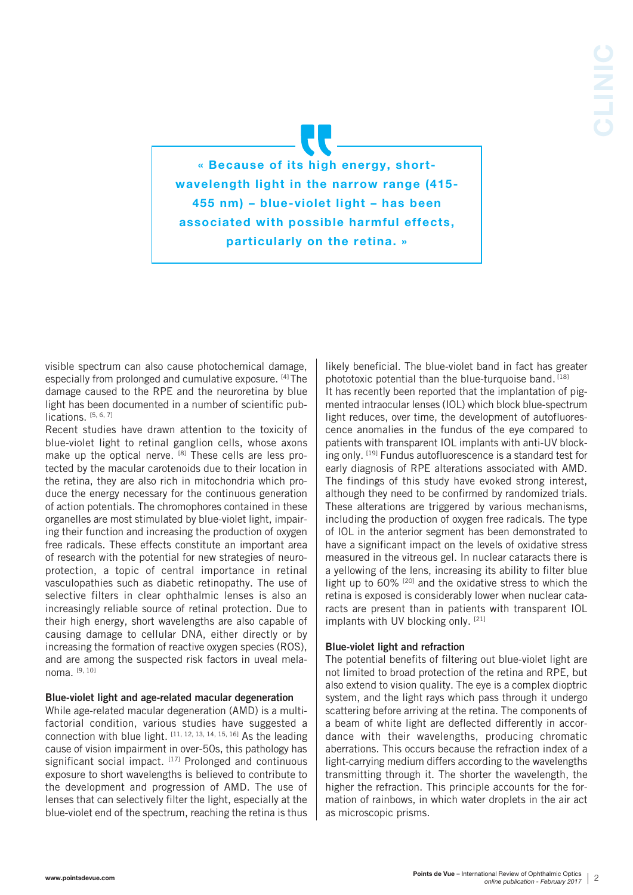« Because of its high energy, shortwavelength light in the narrow range (415- 455 nm) – blue-violet light – has been associated with possible harmful effects, particularly on the retina. »

visible spectrum can also cause photochemical damage, especially from prolonged and cumulative exposure. [4] The damage caused to the RPE and the neuroretina by blue light has been documented in a number of scientific publications. [5, 6, 7]

Recent studies have drawn attention to the toxicity of blue-violet light to retinal ganglion cells, whose axons make up the optical nerve. [8] These cells are less protected by the macular carotenoids due to their location in the retina, they are also rich in mitochondria which produce the energy necessary for the continuous generation of action potentials. The chromophores contained in these organelles are most stimulated by blue-violet light, impairing their function and increasing the production of oxygen free radicals. These effects constitute an important area of research with the potential for new strategies of neuroprotection, a topic of central importance in retinal vasculopathies such as diabetic retinopathy. The use of selective filters in clear ophthalmic lenses is also an increasingly reliable source of retinal protection. Due to their high energy, short wavelengths are also capable of causing damage to cellular DNA, either directly or by increasing the formation of reactive oxygen species (ROS), and are among the suspected risk factors in uveal melanoma. [9, 10]

## Blue-violet light and age-related macular degeneration

While age-related macular degeneration (AMD) is a multifactorial condition, various studies have suggested a connection with blue light.  $[11, 12, 13, 14, 15, 16]$  As the leading cause of vision impairment in over-50s, this pathology has significant social impact. [17] Prolonged and continuous exposure to short wavelengths is believed to contribute to the development and progression of AMD. The use of lenses that can selectively filter the light, especially at the blue-violet end of the spectrum, reaching the retina is thus

likely beneficial. The blue-violet band in fact has greater phototoxic potential than the blue-turquoise band. [18] It has recently been reported that the implantation of pigmented intraocular lenses (IOL) which block blue-spectrum light reduces, over time, the development of autofluorescence anomalies in the fundus of the eye compared to patients with transparent IOL implants with anti-UV blocking only. [19] Fundus autofluorescence is a standard test for early diagnosis of RPE alterations associated with AMD. The findings of this study have evoked strong interest, although they need to be confirmed by randomized trials. These alterations are triggered by various mechanisms, including the production of oxygen free radicals. The type of IOL in the anterior segment has been demonstrated to have a significant impact on the levels of oxidative stress measured in the vitreous gel. In nuclear cataracts there is a yellowing of the lens, increasing its ability to filter blue light up to 60% [20] and the oxidative stress to which the retina is exposed is considerably lower when nuclear cataracts are present than in patients with transparent IOL implants with UV blocking only. [21]

# Blue-violet light and refraction

The potential benefits of filtering out blue-violet light are not limited to broad protection of the retina and RPE, but also extend to vision quality. The eye is a complex dioptric system, and the light rays which pass through it undergo scattering before arriving at the retina. The components of a beam of white light are deflected differently in accordance with their wavelengths, producing chromatic aberrations. This occurs because the refraction index of a light-carrying medium differs according to the wavelengths transmitting through it. The shorter the wavelength, the higher the refraction. This principle accounts for the formation of rainbows, in which water droplets in the air act as microscopic prisms.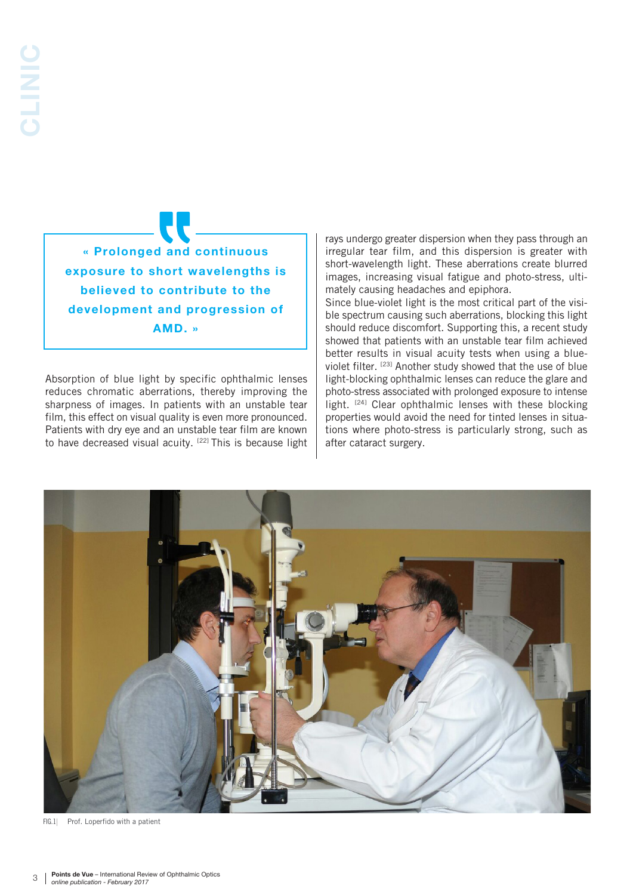« Prolonged and continuous exposure to short wavelengths is believed to contribute to the development and progression of AMD. »

Absorption of blue light by specific ophthalmic lenses reduces chromatic aberrations, thereby improving the sharpness of images. In patients with an unstable tear film, this effect on visual quality is even more pronounced. Patients with dry eye and an unstable tear film are known to have decreased visual acuity. [22] This is because light rays undergo greater dispersion when they pass through an irregular tear film, and this dispersion is greater with short-wavelength light. These aberrations create blurred images, increasing visual fatigue and photo-stress, ultimately causing headaches and epiphora.

Since blue-violet light is the most critical part of the visible spectrum causing such aberrations, blocking this light should reduce discomfort. Supporting this, a recent study showed that patients with an unstable tear film achieved better results in visual acuity tests when using a blueviolet filter. [23] Another study showed that the use of blue light-blocking ophthalmic lenses can reduce the glare and photo-stress associated with prolonged exposure to intense light. <sup>[24]</sup> Clear ophthalmic lenses with these blocking properties would avoid the need for tinted lenses in situations where photo-stress is particularly strong, such as after cataract surgery.



FIG.1 Prof. Loperfido with a patient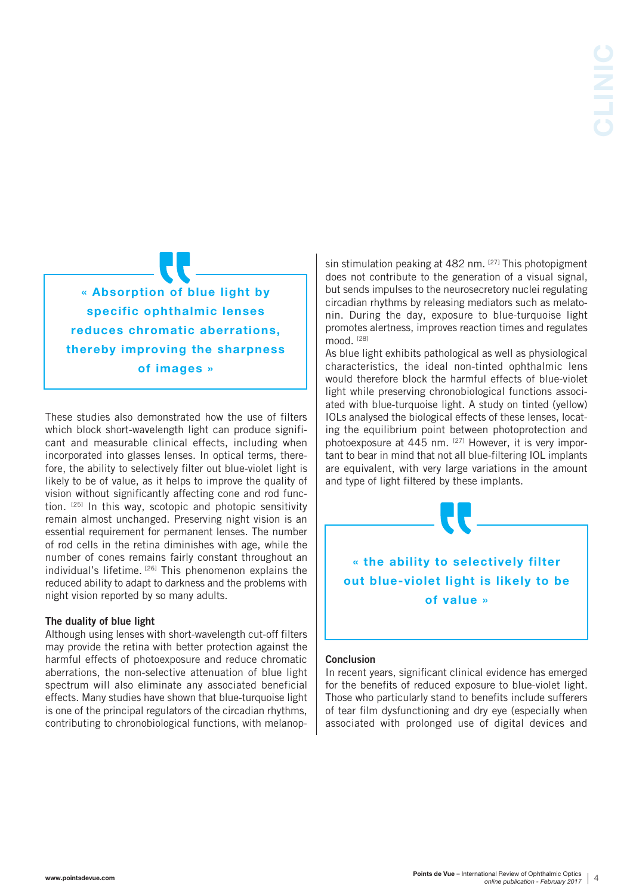« Absorption of blue light by specific ophthalmic lenses reduces chromatic aberrations, thereby improving the sharpness of images »

These studies also demonstrated how the use of filters which block short-wavelength light can produce significant and measurable clinical effects, including when incorporated into glasses lenses. In optical terms, therefore, the ability to selectively filter out blue-violet light is likely to be of value, as it helps to improve the quality of vision without significantly affecting cone and rod function. [25] In this way, scotopic and photopic sensitivity remain almost unchanged. Preserving night vision is an essential requirement for permanent lenses. The number of rod cells in the retina diminishes with age, while the number of cones remains fairly constant throughout an individual's lifetime. [26] This phenomenon explains the reduced ability to adapt to darkness and the problems with night vision reported by so many adults.

## The duality of blue light

Although using lenses with short-wavelength cut-off filters may provide the retina with better protection against the harmful effects of photoexposure and reduce chromatic aberrations, the non-selective attenuation of blue light spectrum will also eliminate any associated beneficial effects. Many studies have shown that blue-turquoise light is one of the principal regulators of the circadian rhythms, contributing to chronobiological functions, with melanopsin stimulation peaking at 482 nm. [27] This photopigment does not contribute to the generation of a visual signal, but sends impulses to the neurosecretory nuclei regulating circadian rhythms by releasing mediators such as melatonin. During the day, exposure to blue-turquoise light promotes alertness, improves reaction times and regulates mood. [28]

As blue light exhibits pathological as well as physiological characteristics, the ideal non-tinted ophthalmic lens would therefore block the harmful effects of blue-violet light while preserving chronobiological functions associated with blue-turquoise light. A study on tinted (yellow) IOLs analysed the biological effects of these lenses, locating the equilibrium point between photoprotection and photoexposure at 445 nm. [27] However, it is very important to bear in mind that not all blue-filtering IOL implants are equivalent, with very large variations in the amount and type of light filtered by these implants.



# Conclusion

In recent years, significant clinical evidence has emerged for the benefits of reduced exposure to blue-violet light. Those who particularly stand to benefits include sufferers of tear film dysfunctioning and dry eye (especially when associated with prolonged use of digital devices and